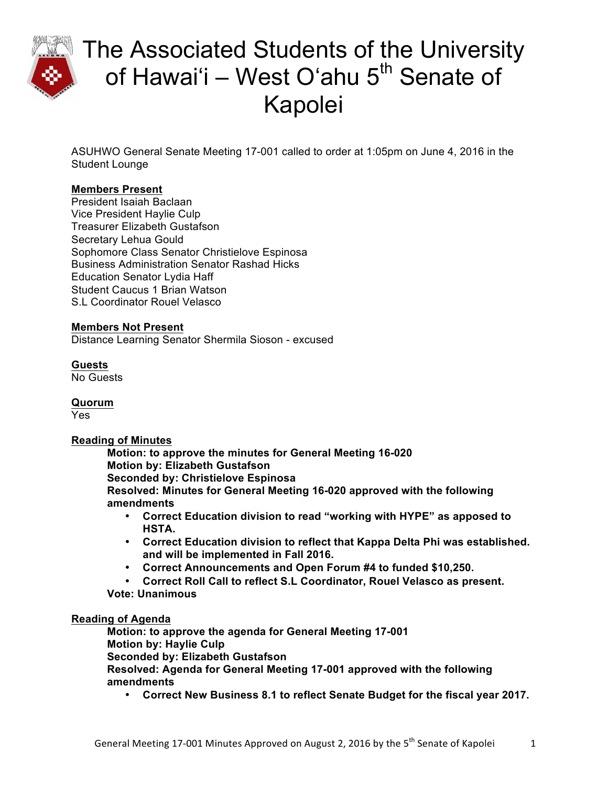

ASUHWO General Senate Meeting 17-001 called to order at 1:05pm on June 4, 2016 in the Student Lounge

## **Members Present**

President Isaiah Baclaan Vice President Haylie Culp Treasurer Elizabeth Gustafson Secretary Lehua Gould Sophomore Class Senator Christielove Espinosa Business Administration Senator Rashad Hicks Education Senator Lydia Haff Student Caucus 1 Brian Watson S.L Coordinator Rouel Velasco

### **Members Not Present**

Distance Learning Senator Shermila Sioson - excused

### **Guests**

No Guests

**Quorum**

Yes

### **Reading of Minutes**

**Motion: to approve the minutes for General Meeting 16-020 Motion by: Elizabeth Gustafson Seconded by: Christielove Espinosa Resolved: Minutes for General Meeting 16-020 approved with the following amendments**

- **Correct Education division to read "working with HYPE" as apposed to HSTA.**
- **Correct Education division to reflect that Kappa Delta Phi was established. and will be implemented in Fall 2016.**
- **Correct Announcements and Open Forum #4 to funded \$10,250.**
- **Correct Roll Call to reflect S.L Coordinator, Rouel Velasco as present.**
- **Vote: Unanimous**

### **Reading of Agenda**

**Motion: to approve the agenda for General Meeting 17-001 Motion by: Haylie Culp Seconded by: Elizabeth Gustafson Resolved: Agenda for General Meeting 17-001 approved with the following amendments**

• **Correct New Business 8.1 to reflect Senate Budget for the fiscal year 2017.**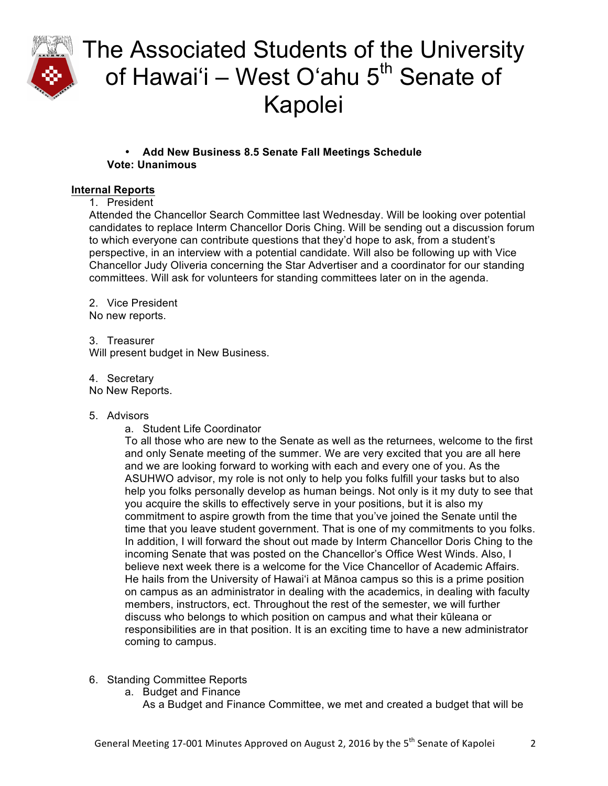

## • **Add New Business 8.5 Senate Fall Meetings Schedule Vote: Unanimous**

### **Internal Reports**

1. President

Attended the Chancellor Search Committee last Wednesday. Will be looking over potential candidates to replace Interm Chancellor Doris Ching. Will be sending out a discussion forum to which everyone can contribute questions that they'd hope to ask, from a student's perspective, in an interview with a potential candidate. Will also be following up with Vice Chancellor Judy Oliveria concerning the Star Advertiser and a coordinator for our standing committees. Will ask for volunteers for standing committees later on in the agenda.

2. Vice President

No new reports.

3. Treasurer Will present budget in New Business.

4. Secretary

No New Reports.

### 5. Advisors

a. Student Life Coordinator

To all those who are new to the Senate as well as the returnees, welcome to the first and only Senate meeting of the summer. We are very excited that you are all here and we are looking forward to working with each and every one of you. As the ASUHWO advisor, my role is not only to help you folks fulfill your tasks but to also help you folks personally develop as human beings. Not only is it my duty to see that you acquire the skills to effectively serve in your positions, but it is also my commitment to aspire growth from the time that you've joined the Senate until the time that you leave student government. That is one of my commitments to you folks. In addition, I will forward the shout out made by Interm Chancellor Doris Ching to the incoming Senate that was posted on the Chancellor's Office West Winds. Also, I believe next week there is a welcome for the Vice Chancellor of Academic Affairs. He hails from the University of Hawaiʻi at Mānoa campus so this is a prime position on campus as an administrator in dealing with the academics, in dealing with faculty members, instructors, ect. Throughout the rest of the semester, we will further discuss who belongs to which position on campus and what their kūleana or responsibilities are in that position. It is an exciting time to have a new administrator coming to campus.

- 6. Standing Committee Reports
	- a. Budget and Finance As a Budget and Finance Committee, we met and created a budget that will be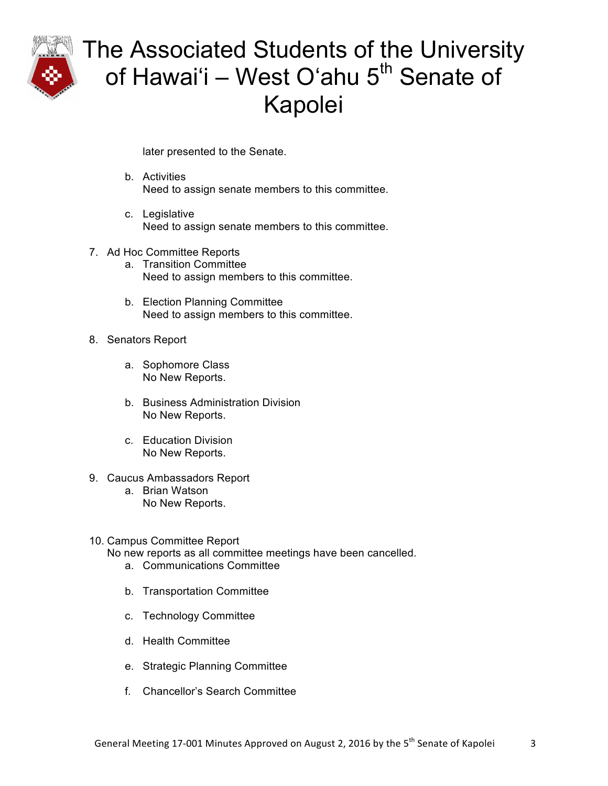

later presented to the Senate.

- b. Activities Need to assign senate members to this committee.
- c. Legislative Need to assign senate members to this committee.
- 7. Ad Hoc Committee Reports
	- a. Transition Committee Need to assign members to this committee.
	- b. Election Planning Committee Need to assign members to this committee.
- 8. Senators Report
	- a. Sophomore Class No New Reports.
	- b. Business Administration Division No New Reports.
	- c. Education Division No New Reports.
- 9. Caucus Ambassadors Report
	- a. Brian Watson No New Reports.
- 10. Campus Committee Report
	- No new reports as all committee meetings have been cancelled.
		- a. Communications Committee
		- b. Transportation Committee
		- c. Technology Committee
		- d. Health Committee
		- e. Strategic Planning Committee
		- f. Chancellor's Search Committee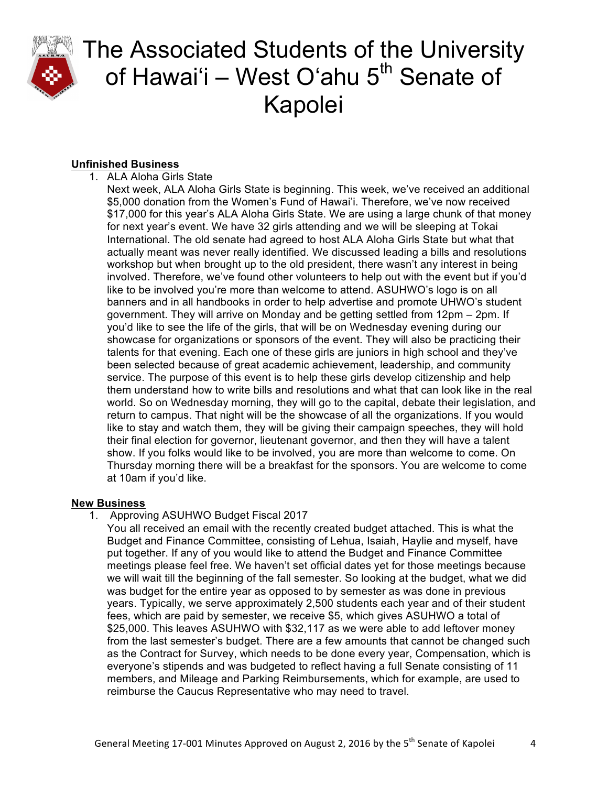

## **Unfinished Business**

1. ALA Aloha Girls State

Next week, ALA Aloha Girls State is beginning. This week, we've received an additional \$5,000 donation from the Women's Fund of Hawai'i. Therefore, we've now received \$17,000 for this year's ALA Aloha Girls State. We are using a large chunk of that money for next year's event. We have 32 girls attending and we will be sleeping at Tokai International. The old senate had agreed to host ALA Aloha Girls State but what that actually meant was never really identified. We discussed leading a bills and resolutions workshop but when brought up to the old president, there wasn't any interest in being involved. Therefore, we've found other volunteers to help out with the event but if you'd like to be involved you're more than welcome to attend. ASUHWO's logo is on all banners and in all handbooks in order to help advertise and promote UHWO's student government. They will arrive on Monday and be getting settled from 12pm – 2pm. If you'd like to see the life of the girls, that will be on Wednesday evening during our showcase for organizations or sponsors of the event. They will also be practicing their talents for that evening. Each one of these girls are juniors in high school and they've been selected because of great academic achievement, leadership, and community service. The purpose of this event is to help these girls develop citizenship and help them understand how to write bills and resolutions and what that can look like in the real world. So on Wednesday morning, they will go to the capital, debate their legislation, and return to campus. That night will be the showcase of all the organizations. If you would like to stay and watch them, they will be giving their campaign speeches, they will hold their final election for governor, lieutenant governor, and then they will have a talent show. If you folks would like to be involved, you are more than welcome to come. On Thursday morning there will be a breakfast for the sponsors. You are welcome to come at 10am if you'd like.

## **New Business**

1. Approving ASUHWO Budget Fiscal 2017

You all received an email with the recently created budget attached. This is what the Budget and Finance Committee, consisting of Lehua, Isaiah, Haylie and myself, have put together. If any of you would like to attend the Budget and Finance Committee meetings please feel free. We haven't set official dates yet for those meetings because we will wait till the beginning of the fall semester. So looking at the budget, what we did was budget for the entire year as opposed to by semester as was done in previous years. Typically, we serve approximately 2,500 students each year and of their student fees, which are paid by semester, we receive \$5, which gives ASUHWO a total of \$25,000. This leaves ASUHWO with \$32,117 as we were able to add leftover money from the last semester's budget. There are a few amounts that cannot be changed such as the Contract for Survey, which needs to be done every year, Compensation, which is everyone's stipends and was budgeted to reflect having a full Senate consisting of 11 members, and Mileage and Parking Reimbursements, which for example, are used to reimburse the Caucus Representative who may need to travel.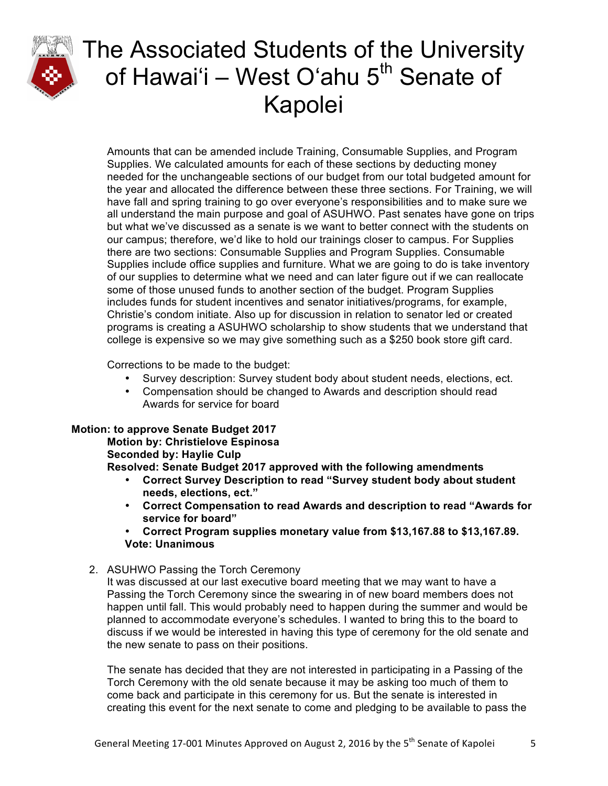

Amounts that can be amended include Training, Consumable Supplies, and Program Supplies. We calculated amounts for each of these sections by deducting money needed for the unchangeable sections of our budget from our total budgeted amount for the year and allocated the difference between these three sections. For Training, we will have fall and spring training to go over everyone's responsibilities and to make sure we all understand the main purpose and goal of ASUHWO. Past senates have gone on trips but what we've discussed as a senate is we want to better connect with the students on our campus; therefore, we'd like to hold our trainings closer to campus. For Supplies there are two sections: Consumable Supplies and Program Supplies. Consumable Supplies include office supplies and furniture. What we are going to do is take inventory of our supplies to determine what we need and can later figure out if we can reallocate some of those unused funds to another section of the budget. Program Supplies includes funds for student incentives and senator initiatives/programs, for example, Christie's condom initiate. Also up for discussion in relation to senator led or created programs is creating a ASUHWO scholarship to show students that we understand that college is expensive so we may give something such as a \$250 book store gift card.

Corrections to be made to the budget:

- Survey description: Survey student body about student needs, elections, ect.
- Compensation should be changed to Awards and description should read Awards for service for board

### **Motion: to approve Senate Budget 2017**

## **Motion by: Christielove Espinosa**

### **Seconded by: Haylie Culp**

**Resolved: Senate Budget 2017 approved with the following amendments**

- **Correct Survey Description to read "Survey student body about student needs, elections, ect."**
- **Correct Compensation to read Awards and description to read "Awards for service for board"**
- **Correct Program supplies monetary value from \$13,167.88 to \$13,167.89. Vote: Unanimous**

### 2. ASUHWO Passing the Torch Ceremony

It was discussed at our last executive board meeting that we may want to have a Passing the Torch Ceremony since the swearing in of new board members does not happen until fall. This would probably need to happen during the summer and would be planned to accommodate everyone's schedules. I wanted to bring this to the board to discuss if we would be interested in having this type of ceremony for the old senate and the new senate to pass on their positions.

The senate has decided that they are not interested in participating in a Passing of the Torch Ceremony with the old senate because it may be asking too much of them to come back and participate in this ceremony for us. But the senate is interested in creating this event for the next senate to come and pledging to be available to pass the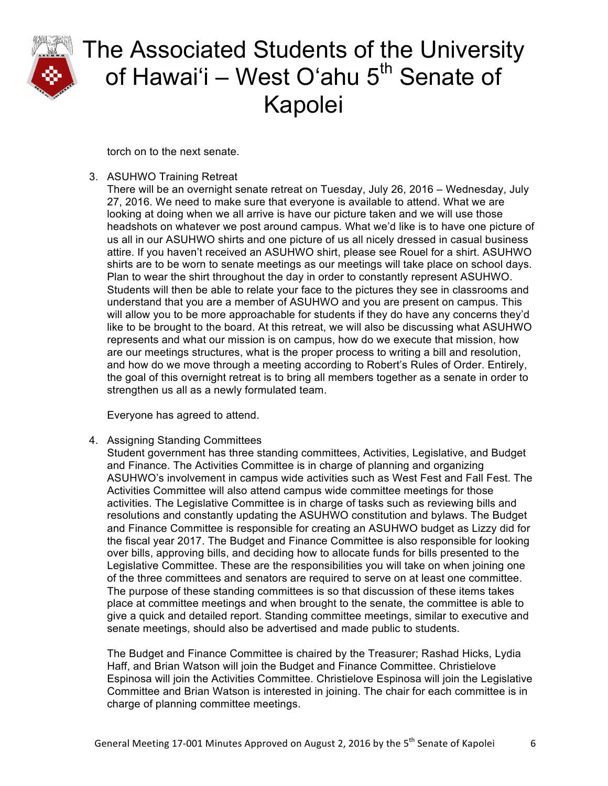

torch on to the next senate.

3. ASUHWO Training Retreat

There will be an overnight senate retreat on Tuesday, July 26, 2016 – Wednesday, July 27, 2016. We need to make sure that everyone is available to attend. What we are looking at doing when we all arrive is have our picture taken and we will use those headshots on whatever we post around campus. What we'd like is to have one picture of us all in our ASUHWO shirts and one picture of us all nicely dressed in casual business attire. If you haven't received an ASUHWO shirt, please see Rouel for a shirt. ASUHWO shirts are to be worn to senate meetings as our meetings will take place on school days. Plan to wear the shirt throughout the day in order to constantly represent ASUHWO. Students will then be able to relate your face to the pictures they see in classrooms and understand that you are a member of ASUHWO and you are present on campus. This will allow you to be more approachable for students if they do have any concerns they'd like to be brought to the board. At this retreat, we will also be discussing what ASUHWO represents and what our mission is on campus, how do we execute that mission, how are our meetings structures, what is the proper process to writing a bill and resolution, and how do we move through a meeting according to Robert's Rules of Order. Entirely, the goal of this overnight retreat is to bring all members together as a senate in order to strengthen us all as a newly formulated team.

Everyone has agreed to attend.

4. Assigning Standing Committees

Student government has three standing committees, Activities, Legislative, and Budget and Finance. The Activities Committee is in charge of planning and organizing ASUHWO's involvement in campus wide activities such as West Fest and Fall Fest. The Activities Committee will also attend campus wide committee meetings for those activities. The Legislative Committee is in charge of tasks such as reviewing bills and resolutions and constantly updating the ASUHWO constitution and bylaws. The Budget and Finance Committee is responsible for creating an ASUHWO budget as Lizzy did for the fiscal year 2017. The Budget and Finance Committee is also responsible for looking over bills, approving bills, and deciding how to allocate funds for bills presented to the Legislative Committee. These are the responsibilities you will take on when joining one of the three committees and senators are required to serve on at least one committee. The purpose of these standing committees is so that discussion of these items takes place at committee meetings and when brought to the senate, the committee is able to give a quick and detailed report. Standing committee meetings, similar to executive and senate meetings, should also be advertised and made public to students.

The Budget and Finance Committee is chaired by the Treasurer; Rashad Hicks, Lydia Haff, and Brian Watson will join the Budget and Finance Committee. Christielove Espinosa will join the Activities Committee. Christielove Espinosa will join the Legislative Committee and Brian Watson is interested in joining. The chair for each committee is in charge of planning committee meetings.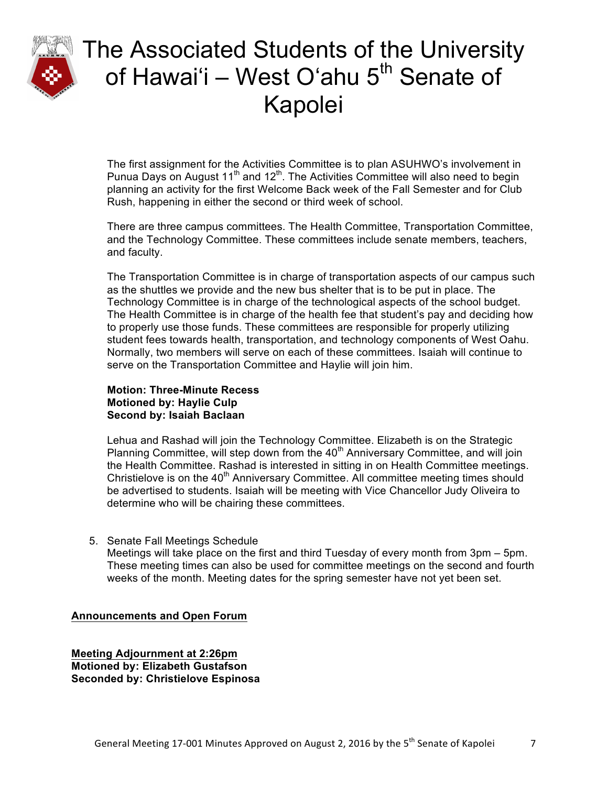

The first assignment for the Activities Committee is to plan ASUHWO's involvement in Punua Days on August  $11<sup>th</sup>$  and  $12<sup>th</sup>$ . The Activities Committee will also need to begin planning an activity for the first Welcome Back week of the Fall Semester and for Club Rush, happening in either the second or third week of school.

There are three campus committees. The Health Committee, Transportation Committee, and the Technology Committee. These committees include senate members, teachers, and faculty.

The Transportation Committee is in charge of transportation aspects of our campus such as the shuttles we provide and the new bus shelter that is to be put in place. The Technology Committee is in charge of the technological aspects of the school budget. The Health Committee is in charge of the health fee that student's pay and deciding how to properly use those funds. These committees are responsible for properly utilizing student fees towards health, transportation, and technology components of West Oahu. Normally, two members will serve on each of these committees. Isaiah will continue to serve on the Transportation Committee and Haylie will join him.

### **Motion: Three-Minute Recess Motioned by: Haylie Culp Second by: Isaiah Baclaan**

Lehua and Rashad will join the Technology Committee. Elizabeth is on the Strategic Planning Committee, will step down from the 40<sup>th</sup> Anniversary Committee, and will join the Health Committee. Rashad is interested in sitting in on Health Committee meetings. Christielove is on the  $40<sup>th</sup>$  Anniversary Committee. All committee meeting times should be advertised to students. Isaiah will be meeting with Vice Chancellor Judy Oliveira to determine who will be chairing these committees.

5. Senate Fall Meetings Schedule

Meetings will take place on the first and third Tuesday of every month from 3pm – 5pm. These meeting times can also be used for committee meetings on the second and fourth weeks of the month. Meeting dates for the spring semester have not yet been set.

#### **Announcements and Open Forum**

**Meeting Adjournment at 2:26pm Motioned by: Elizabeth Gustafson Seconded by: Christielove Espinosa**